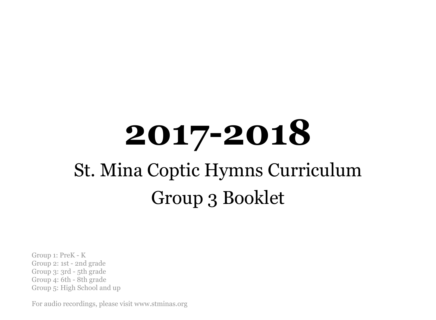# **2017-2018** St. Mina Coptic Hymns Curriculum Group 3 Booklet

Group 1: PreK - K Group 2: 1st - 2nd grade Group 3: 3rd - 5th grade Group 4: 6th - 8th grade Group 5: High School and up

For audio recordings, please visit www.stminas.org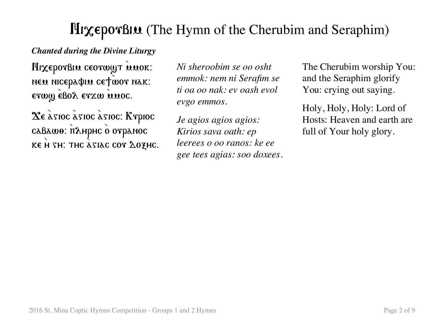# HixeporBiu (The Hymn of the Cherubim and Seraphim)

#### *Chanted during the Divine Liturgy*

HixeporBin ceorwy TMMOK: neu nicepa¢iu ce†wor nak: erwy ebol erzw unoc.

 $\chi_{\varepsilon}$   $\chi_{\text{SIOC}}$   $\chi_{\text{SIOC}}$   $\chi_{\text{SIOC}}$   $\chi_{\text{SIOC}}$ caBawo: п2нрнс о отранос KE H  $SH$ : THC  $\lambda$ siac cor  $\Delta$ ozhc. *Ni sheroobim se oo osht emmok: nem ni Serafim se ti oa oo nak: ev oash evol evgo emmos.*

*Je agios agios agios: Kirios sava oath: ep leerees o oo ranos: ke ee gee tees agias: soo doxees.* The Cherubim worship You: and the Seraphim glorify You: crying out saying.

Holy, Holy, Holy: Lord of Hosts: Heaven and earth are full of Your holy glory.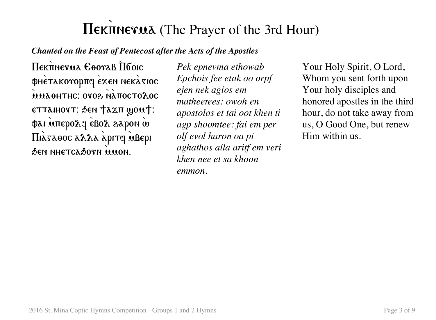# Πεκπηενιλ (The Prayer of the 3rd Hour)

*Chanted on the Feast of Pentecost after the Acts of the Apostles*

Hekitnerua Cooraß Hooic φhetakoropπq exen nekasioc **ΜΜΑΘΗΤΗΣ: OTOS NATIOCTOΛOC** ettaihovt: Ben †axit gou†: φαι υπερολη εβολ ελρον ω Πιλταθος αλλα άριτς Μβερι Den nhetcadorn wwon.

*Pek epnevma ethowab Epchois fee etak oo orpf ejen nek agios em matheetees: owoh en apostolos et tai oot khen ti agp shoomtee: fai em per olf evol haron oa pi aghathos alla aritf em veri khen nee et sa khoon emmon.*

Your Holy Spirit, O Lord, Whom you sent forth upon Your holy disciples and honored apostles in the third hour, do not take away from us, O Good One, but renew Him within us.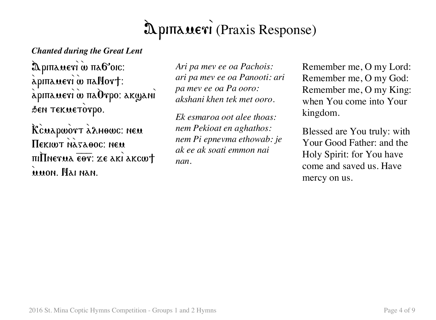#### 8 λριπλαετι (Praxis Response)

#### *Chanted during the Great Lent*

λριπλαετι ω πλ6'οις: apinaueri w nallort:  $\sum_{\alpha}^{\infty}$ аріпаметі ш $\alpha$  па $\widehat{\mathbf{O}}$ тро: ак $\mathbf{w}$ ані SEN TEKUETOTPO.

Rcuapwort adhowc: neu  $\Pi$ екішт назавос: нем  $\pi$ i $\overline{\text{Im}}$ Phetua  $\overline{\text{ee}}$ t: xe aki akcw $\dagger$ 8mmon. Nai nan.

*Ari pa mev ee oa Pachois: ari pa mev ee oa Panooti: ari pa mev ee oa Pa ooro: akshani khen tek met ooro.*

*Ek esmaroa oot alee thoas: nem Pekioat en aghathos: nem Pi epnevma ethowab: je ak ee ak soati emmon nai nan.*

Remember me, O my Lord: Remember me, O my God: Remember me, O my King: when You come into Your kingdom.

Blessed are You truly: with Your Good Father: and the Holy Spirit: for You have come and saved us. Have mercy on us.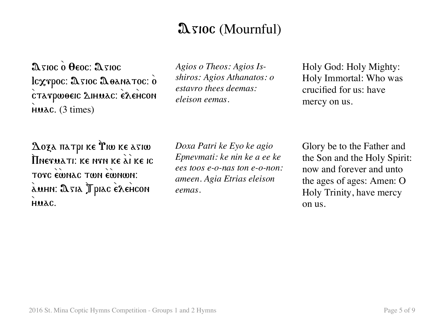### $\mathfrak A$  sioc (Mournful)

 $\mathfrak{A}\mathfrak{z}$ 10 $\mathfrak{c}$   $\mathfrak{d}$   $\Theta$ eoc:  $\mathfrak{A}\mathfrak{z}$ 10 $\mathfrak{c}$ Icxrpoc: Asioc Aoanatoc: 0  $c$ татронее  $\Delta$ ниас:  $\epsilon$  $\Delta$ енсон  $H$ uac. (3 times)

*Agios o Theos: Agios Isshiros: Agios Athanatos: o estavro thees deemas: eleison eemas.*

Holy God: Holy Mighty: Holy Immortal: Who was crucified for us: have mercy on us.

 $\Delta$ οξα πατρι κε Υιω κε ασιω  $\prod$ nevuati: ke nyn ke  $\stackrel{\sim}{{\tt a}}$ i ke ic TOTC EWNAC TWN EWNWN: àuhn: Asia Jpiac èxencon HUAC.

*Doxa Patri ke Eyo ke agio Epnevmati: ke nin ke a ee ke ees toos e-o-nas ton e-o-non: ameen. Agia Etrias eleison eemas.*

Glory be to the Father and the Son and the Holy Spirit: now and forever and unto the ages of ages: Amen: O Holy Trinity, have mercy on us.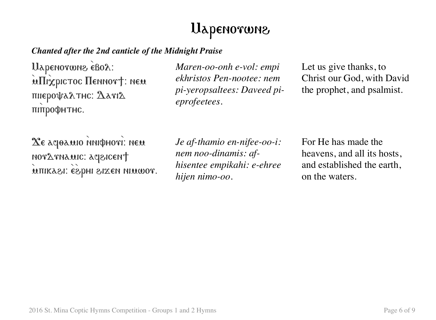# Uapenorwne

#### *Chanted after the 2nd canticle of the Midnight Praise*

Uapenorwne eBox: **inTrixpictoc Hennort: nem** πιιεροψαλτης:  $2$ ατι $2$ питрофнтнс.

*Maren-oo-onh e-vol: empi ekhristos Pen-nootee: nem pi-yeropsaltees: Daveed pieprofeetees.*

Let us give thanks, to Christ our God, with David the prophet, and psalmist.

 $X$ є асраміо мифноті: нем noratnamic: agencent muikasi: Esphi sizen nimmor. *Je af-thamio en-nifee-oo-i: nem noo-dinamis: afhisentee empikahi: e-ehree hijen nimo-oo.*

For He has made the heavens, and all its hosts, and established the earth, on the waters.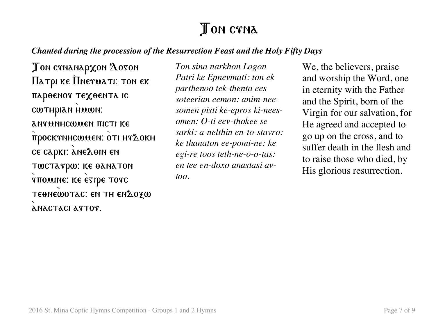## **J** ON CTNA

#### *Chanted during the procession of the Resurrection Feast and the Holy Fifty Days*

Ton ctnanapxon Aoton  $\Pi$ атрі ке  $\Pi$ нетиаті: тон ек парөенот техөента іс cwthpian Huwn: **ANTUNHCWUEN TICTI KE** προσκτημε ων εντι μελοκμ ce capki: ane $\lambda$ oin en TWCTATPW: KE OANATON rπολιηε: κε εγιρε τονς TEONEWOTAC: EN TH ENΔOZW anactaci artor.

*Ton sina narkhon Logon Patri ke Epnevmati: ton ek parthenoo tek-thenta ees soteerian eemon: anim-neesomen pisti ke-epros ki-neesomen: O-ti eev-thokee se sarki: a-nelthin en-to-stavro: ke thanaton ee-pomi-ne: ke egi-re toos teth-ne-o-o-tas: en tee en-doxo anastasi avtoo.*

We, the believers, praise and worship the Word, one in eternity with the Father and the Spirit, born of the Virgin for our salvation, for He agreed and accepted to go up on the cross, and to suffer death in the flesh and to raise those who died, by His glorious resurrection.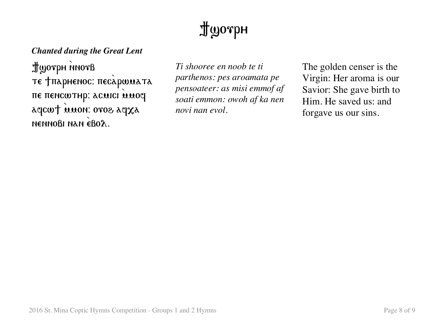# $\mathbf{\mathcal{L}}$  morph

#### *Chanted during the Great Lent*

Bromi Hyperper те †парненос: песаршиата πε πεηςωτηρ: acuici umoq agcwt muon: oros agxa nennoßi nan eßo $\lambda$ .

*Ti shooree en noob te ti parthenos: pes aroamata pe pensoateer: as misi emmof af soati emmon: owoh af ka nen novi nan evol.*

The golden censer is the Virgin: Her aroma is our Savior: She gave birth to Him. He saved us: and forgave us our sins.